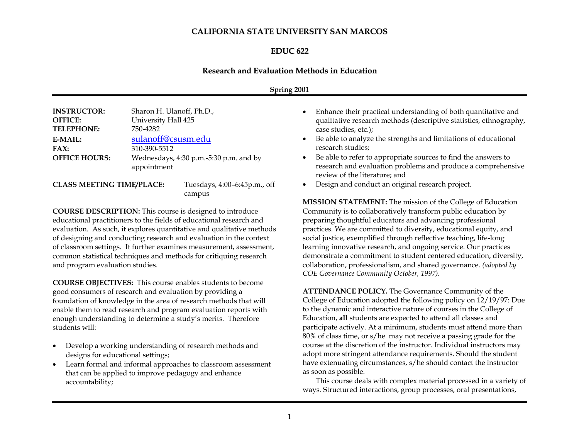### **CALIFORNIA STATE UNIVERSITY SAN MARCOS**

#### **EDUC 622**

#### **Research and Evaluation Methods in Education**

#### **Spring 2001**

| <b>INSTRUCTOR:</b><br><b>OFFICE:</b><br><b>TELEPHONE:</b>                                                                                                                                                                                                                                                                                                     | Sharon H. Ulanoff, Ph.D.,<br>University Hall 425<br>750-4282                                                                                                                                                                                                                                                  |
|---------------------------------------------------------------------------------------------------------------------------------------------------------------------------------------------------------------------------------------------------------------------------------------------------------------------------------------------------------------|---------------------------------------------------------------------------------------------------------------------------------------------------------------------------------------------------------------------------------------------------------------------------------------------------------------|
| <b>E-MAIL:</b>                                                                                                                                                                                                                                                                                                                                                | sulanoff@csusm.edu                                                                                                                                                                                                                                                                                            |
| FAX:                                                                                                                                                                                                                                                                                                                                                          | 310-390-5512                                                                                                                                                                                                                                                                                                  |
| <b>OFFICE HOURS:</b>                                                                                                                                                                                                                                                                                                                                          | Wednesdays, 4:30 p.m.-5:30 p.m. and by                                                                                                                                                                                                                                                                        |
|                                                                                                                                                                                                                                                                                                                                                               | appointment                                                                                                                                                                                                                                                                                                   |
| $\alpha$ , $\alpha$ , $\alpha$ , $\alpha$ , $\alpha$ , $\alpha$ , $\alpha$ , $\alpha$ , $\alpha$ , $\alpha$ , $\alpha$ , $\alpha$ , $\alpha$ , $\alpha$ , $\alpha$ , $\alpha$ , $\alpha$ , $\alpha$ , $\alpha$ , $\alpha$ , $\alpha$ , $\alpha$ , $\alpha$ , $\alpha$ , $\alpha$ , $\alpha$ , $\alpha$ , $\alpha$ , $\alpha$ , $\alpha$ , $\alpha$ , $\alpha$ | $\mathbb{R}$ 1 1 2 $\mathbb{R}$ 1 $\mathbb{R}$ 1 $\mathbb{R}$ 1 $\mathbb{R}$ 1 $\mathbb{R}$ 1 $\mathbb{R}$ 1 $\mathbb{R}$ 1 $\mathbb{R}$ 1 $\mathbb{R}$ 1 $\mathbb{R}$ 1 $\mathbb{R}$ 1 $\mathbb{R}$ 1 $\mathbb{R}$ 1 $\mathbb{R}$ 1 $\mathbb{R}$ 1 $\mathbb{R}$ 1 $\mathbb{R}$ 1 $\mathbb{R}$ 1 $\mathbb{R}$ |

**CLASS MEETING TIME/PLACE:** Tuesdays, 4:00–6:45p.m., off campus

**COURSE DESCRIPTION:** This course is designed to introduce educational practitioners to the fields of educational research and evaluation. As such, it explores quantitative and qualitative methods of designing and conducting research and evaluation in the context of classroom settings. It further examines measurement, assessment, common statistical techniques and methods for critiquing research and program evaluation studies.

**COURSE OBJECTIVES:** This course enables students to become good consumers of research and evaluation by providing a foundation of knowledge in the area of research methods that will enable them to read research and program evaluation reports with enough understanding to determine a study's merits. Therefore students will:

- Develop a working understanding of research methods and designs for educational settings;
- Learn formal and informal approaches to classroom assessment that can be applied to improve pedagogy and enhance accountability;
- Enhance their practical understanding of both quantitative and qualitative research methods (descriptive statistics, ethnography, case studies, etc.);
- Be able to analyze the strengths and limitations of educational research studies;
- Be able to refer to appropriate sources to find the answers to research and evaluation problems and produce a comprehensive review of the literature; and
- Design and conduct an original research project.

**MISSION STATEMENT:** The mission of the College of Education Community is to collaboratively transform public education by preparing thoughtful educators and advancing professional practices. We are committed to diversity, educational equity, and social justice, exemplified through reflective teaching, life-long learning innovative research, and ongoing service. Our practices demonstrate a commitment to student centered education, diversity, collaboration, professionalism, and shared governance. *(adopted by COE Governance Community October, 1997).*

**ATTENDANCE POLICY.** The Governance Community of the College of Education adopted the following policy on 12/19/97: Due to the dynamic and interactive nature of courses in the College of Education, **all** students are expected to attend all classes and participate actively. At a minimum, students must attend more than 80% of class time, or s/he may not receive a passing grade for the course at the discretion of the instructor. Individual instructors may adopt more stringent attendance requirements. Should the student have extenuating circumstances, s/he should contact the instructor as soon as possible.

This course deals with complex material processed in a variety of ways. Structured interactions, group processes, oral presentations,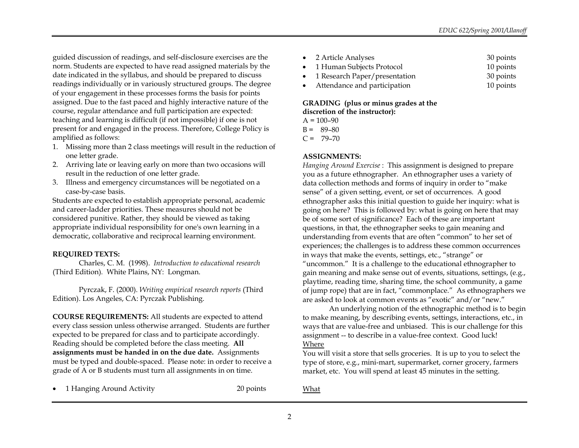guided discussion of readings, and self-disclosure exercises are the norm. Students are expected to have read assigned materials by the date indicated in the syllabus, and should be prepared to discuss readings individually or in variously structured groups. The degree of your engagement in these processes forms the basis for points assigned. Due to the fast paced and highly interactive nature of the course, regular attendance and full participation are expected: teaching and learning is difficult (if not impossible) if one is not present for and engaged in the process. Therefore, College Policy is amplified as follows:

- 1. Missing more than 2 class meetings will result in the reduction of one letter grade.
- 2. Arriving late or leaving early on more than two occasions will result in the reduction of one letter grade.
- 3. Illness and emergency circumstances will be negotiated on a case-by-case basis.

Students are expected to establish appropriate personal, academic and career-ladder priorities. These measures should not be considered punitive. Rather, they should be viewed as taking appropriate individual responsibility for one's own learning in a democratic, collaborative and reciprocal learning environment.

#### **REQUIRED TEXTS:**

Charles, C. M. (1998). *Introduction to educational research*  (Third Edition)*.* White Plains, NY: Longman.

Pyrczak, F. (2000). *Writing empirical research reports* (Third Edition). Los Angeles, CA: Pyrczak Publishing.

**COURSE REQUIREMENTS:** All students are expected to attend every class session unless otherwise arranged. Students are further expected to be prepared for class and to participate accordingly. Reading should be completed before the class meeting. **All assignments must be handed in on the due date.** Assignments must be typed and double-spaced. Please note: in order to receive a grade of A or B students must turn all assignments in on time.

| • 2 Article Analyses            | 30 points |
|---------------------------------|-----------|
| • 1 Human Subjects Protocol     | 10 points |
| • 1 Research Paper/presentation | 30 points |
| Attendance and participation    | 10 points |

#### **GRADING (plus or minus grades at the discretion of the instructor):**

 $A = 100 - 90$ 

 $B = 89-80$ 

 $C = 79-70$ 

# **ASSIGNMENTS:**

*Hanging Around Exercise* : This assignment is designed to prepare you as a future ethnographer. An ethnographer uses a variety of data collection methods and forms of inquiry in order to "make sense" of a given setting, event, or set of occurrences. A good ethnographer asks this initial question to guide her inquiry: what is going on here? This is followed by: what is going on here that may be of some sort of significance? Each of these are important questions, in that, the ethnographer seeks to gain meaning and understanding from events that are often "common" to her set of experiences; the challenges is to address these common occurrences in ways that make the events, settings, etc., "strange" or "uncommon." It is a challenge to the educational ethnographer to gain meaning and make sense out of events, situations, settings, (e.g., playtime, reading time, sharing time, the school community, a game of jump rope) that are in fact, "commonplace." As ethnographers we are asked to look at common events as "exotic" and/or "new."

An underlying notion of the ethnographic method is to begin to make meaning, by describing events, settings, interactions, etc., in ways that are value-free and unbiased. This is our challenge for this assignment -- to describe in a value-free context. Good luck! Where

You will visit a store that sells groceries. It is up to you to select the type of store, e.g., mini-mart, supermarket, corner grocery, farmers market, etc. You will spend at least 45 minutes in the setting.

|  | 1 Hanging Around Activity |  |
|--|---------------------------|--|
|--|---------------------------|--|

20 points

What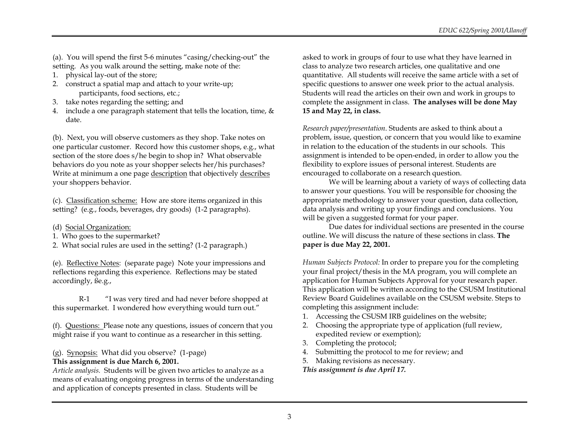(a). You will spend the first 5-6 minutes "casing/checking-out" the setting. As you walk around the setting, make note of the:

- 1. physical lay-out of the store;
- 2. construct a spatial map and attach to your write-up; participants, food sections, etc.;
- 3. take notes regarding the setting; and
- 4. include a one paragraph statement that tells the location, time,  $\&$ date.

(b). Next, you will observe customers as they shop. Take notes on one particular customer. Record how this customer shops, e.g., what section of the store does s/he begin to shop in? What observable behaviors do you note as your shopper selects her/his purchases? Write at minimum a one page description that objectively describes your shoppers behavior.

(c). Classification scheme: How are store items organized in this setting? (e.g., foods, beverages, dry goods) (1-2 paragraphs).

(d) Social Organization:

1. Who goes to the supermarket?

2. What social rules are used in the setting? (1-2 paragraph.)

(e). Reflective Notes: (separate page) Note your impressions and reflections regarding this experience. Reflections may be stated accordingly, ße.g.,

R-1 "I was very tired and had never before shopped at this supermarket. I wondered how everything would turn out."

(f). Questions: Please note any questions, issues of concern that you might raise if you want to continue as a researcher in this setting.

(g). Synopsis: What did you observe? (1-page) **This assignment is due March 6, 2001.**

*Article analysis.* Students will be given two articles to analyze as a means of evaluating ongoing progress in terms of the understanding and application of concepts presented in class. Students will be

asked to work in groups of four to use what they have learned in class to analyze two research articles, one qualitative and one quantitative. All students will receive the same article with a set of specific questions to answer one week prior to the actual analysis. Students will read the articles on their own and work in groups to complete the assignment in class. **The analyses will be done May 15 and May 22, in class.**

*Research paper/presentation*. Students are asked to think about a problem, issue, question, or concern that you would like to examine in relation to the education of the students in our schools. This assignment is intended to be open-ended, in order to allow you the flexibility to explore issues of personal interest. Students are encouraged to collaborate on a research question.

We will be learning about a variety of ways of collecting data to answer your questions. You will be responsible for choosing the appropriate methodology to answer your question, data collection, data analysis and writing up your findings and conclusions. You will be given a suggested format for your paper.

Due dates for individual sections are presented in the course outline. We will discuss the nature of these sections in class. **The paper is due May 22, 2001.**

*Human Subjects Protocol:* In order to prepare you for the completing your final project/thesis in the MA program, you will complete an application for Human Subjects Approval for your research paper. This application will be written according to the CSUSM Institutional Review Board Guidelines available on the CSUSM website. Steps to completing this assignment include:

- 1. Accessing the CSUSM IRB guidelines on the website;
- 2. Choosing the appropriate type of application (full review, expedited review or exemption);
- 3. Completing the protocol;
- 4. Submitting the protocol to me for review; and
- 5. Making revisions as necessary.

*This assignment is due April 17.*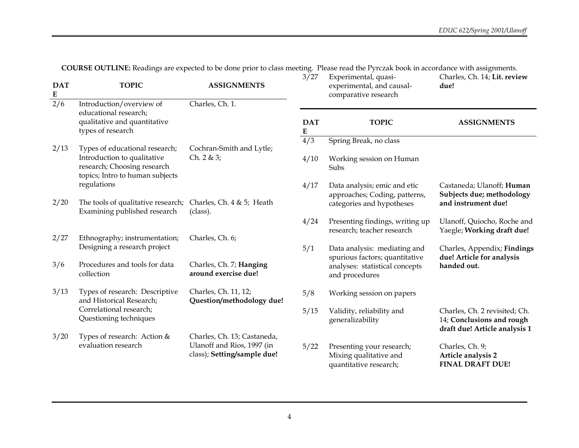**COURSE OUTLINE:** Readings are expected to be done prior to class meeting. Please read the Pyrczak book in accordance with assignments.

| <b>DAT</b><br>${\bf E}$ | <b>TOPIC</b>                                                                                  | <b>ASSIGNMENTS</b>                                        | 3/27                    | Experimental, quasi-<br>experimental, and causal-<br>comparative research          | Charles, Ch. 14; Lit. review<br>due!                                                        |
|-------------------------|-----------------------------------------------------------------------------------------------|-----------------------------------------------------------|-------------------------|------------------------------------------------------------------------------------|---------------------------------------------------------------------------------------------|
| 2/6                     | Introduction/overview of                                                                      | Charles, Ch. 1.                                           |                         |                                                                                    |                                                                                             |
|                         | educational research;<br>qualitative and quantitative<br>types of research                    |                                                           | <b>DAT</b><br>${\bf E}$ | <b>TOPIC</b>                                                                       | <b>ASSIGNMENTS</b>                                                                          |
| 2/13                    | Types of educational research;                                                                | Cochran-Smith and Lytle;                                  | 4/3                     | Spring Break, no class                                                             |                                                                                             |
|                         | Introduction to qualitative<br>research; Choosing research<br>topics; Intro to human subjects | Ch. $2 & 3;$                                              | 4/10                    | Working session on Human<br>Subs                                                   |                                                                                             |
|                         | regulations                                                                                   |                                                           | 4/17                    | Data analysis; emic and etic<br>approaches; Coding, patterns,                      | Castaneda; Ulanoff; Human<br>Subjects due; methodology                                      |
| 2/20                    | The tools of qualitative research;<br>Examining published research                            | Charles, Ch. 4 & 5; Heath<br>(class).                     |                         | categories and hypotheses                                                          | and instrument due!                                                                         |
|                         |                                                                                               |                                                           | 4/24                    | Presenting findings, writing up<br>research; teacher research                      | Ulanoff, Quiocho, Roche and<br>Yaegle; Working draft due!                                   |
| 2/27                    | Ethnography; instrumentation;<br>Designing a research project                                 | Charles, Ch. 6;                                           | 5/1                     | Data analysis: mediating and                                                       | Charles, Appendix; Findings                                                                 |
| 3/6                     | Procedures and tools for data<br>collection                                                   | Charles, Ch. 7; Hanging<br>around exercise due!           |                         | spurious factors; quantitative<br>analyses: statistical concepts<br>and procedures | due! Article for analysis<br>handed out.                                                    |
| 3/13                    | Types of research: Descriptive<br>and Historical Research;                                    | Charles, Ch. 11, 12;<br>Question/methodology due!         | 5/8                     | Working session on papers                                                          |                                                                                             |
|                         | Correlational research;<br>Questioning techniques                                             |                                                           | 5/15                    | Validity, reliability and<br>generalizability                                      | Charles, Ch. 2 revisited; Ch.<br>14; Conclusions and rough<br>draft due! Article analysis 1 |
| 3/20                    | Types of research: Action &                                                                   | Charles, Ch. 13; Castaneda,                               |                         |                                                                                    |                                                                                             |
|                         | evaluation research                                                                           | Ulanoff and Rios, 1997 (in<br>class); Setting/sample due! | 5/22                    | Presenting your research;<br>Mixing qualitative and<br>quantitative research;      | Charles, Ch. 9;<br>Article analysis 2<br><b>FINAL DRAFT DUE!</b>                            |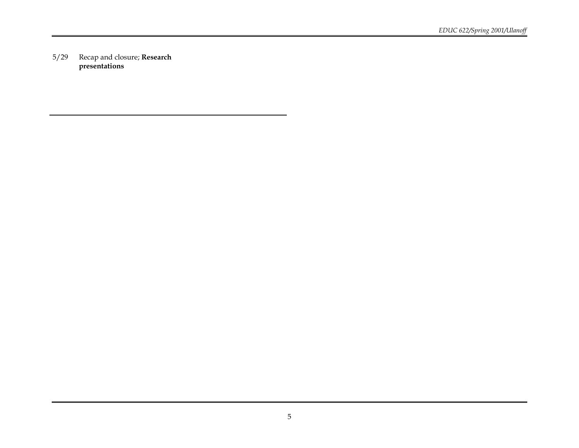5/29 Recap and closure; **Research presentations**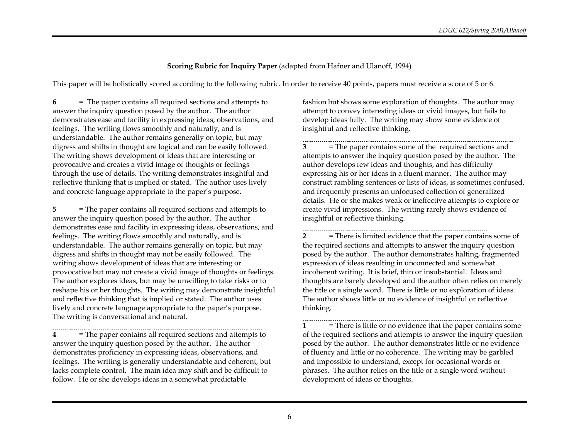# **Scoring Rubric for Inquiry Paper** (adapted from Hafner and Ulanoff, 1994)

This paper will be holistically scored according to the following rubric. In order to receive 40 points, papers must receive a score of 5 or 6.

**6** = The paper contains all required sections and attempts to answer the inquiry question posed by the author. The author demonstrates ease and facility in expressing ideas, observations, and feelings. The writing flows smoothly and naturally, and is understandable. The author remains generally on topic, but may digress and shifts in thought are logical and can be easily followed. The writing shows development of ideas that are interesting or provocative and creates a vivid image of thoughts or feelings through the use of details. The writing demonstrates insightful and reflective thinking that is implied or stated. The author uses lively and concrete language appropriate to the paper's purpose.

**5** = The paper contains all required sections and attempts to answer the inquiry question posed by the author. The author demonstrates ease and facility in expressing ideas, observations, and feelings. The writing flows smoothly and naturally, and is understandable. The author remains generally on topic, but may digress and shifts in thought may not be easily followed. The writing shows development of ideas that are interesting or provocative but may not create a vivid image of thoughts or feelings. The author explores ideas, but may be unwilling to take risks or to reshape his or her thoughts. The writing may demonstrate insightful and reflective thinking that is implied or stated. The author uses lively and concrete language appropriate to the paper's purpose. The writing is conversational and natural.

**4** = The paper contains all required sections and attempts to answer the inquiry question posed by the author. The author demonstrates proficiency in expressing ideas, observations, and feelings. The writing is generally understandable and coherent, but lacks complete control. The main idea may shift and be difficult to follow. He or she develops ideas in a somewhat predictable

fashion but shows some exploration of thoughts. The author may attempt to convey interesting ideas or vivid images, but fails to develop ideas fully. The writing may show some evidence of insightful and reflective thinking.

**3** = The paper contains some of the required sections and attempts to answer the inquiry question posed by the author. The author develops few ideas and thoughts, and has difficulty expressing his or her ideas in a fluent manner. The author may construct rambling sentences or lists of ideas, is sometimes confused, and frequently presents an unfocused collection of generalized details. He or she makes weak or ineffective attempts to explore or create vivid impressions. The writing rarely shows evidence of insightful or reflective thinking.

**2** = There is limited evidence that the paper contains some of the required sections and attempts to answer the inquiry question posed by the author. The author demonstrates halting, fragmented expression of ideas resulting in unconnected and somewhat incoherent writing. It is brief, thin or insubstantial. Ideas and thoughts are barely developed and the author often relies on merely the title or a single word. There is little or no exploration of ideas. The author shows little or no evidence of insightful or reflective thinking.

**1** = There is little or no evidence that the paper contains some of the required sections and attempts to answer the inquiry question posed by the author. The author demonstrates little or no evidence of fluency and little or no coherence. The writing may be garbled and impossible to understand, except for occasional words or phrases. The author relies on the title or a single word without development of ideas or thoughts.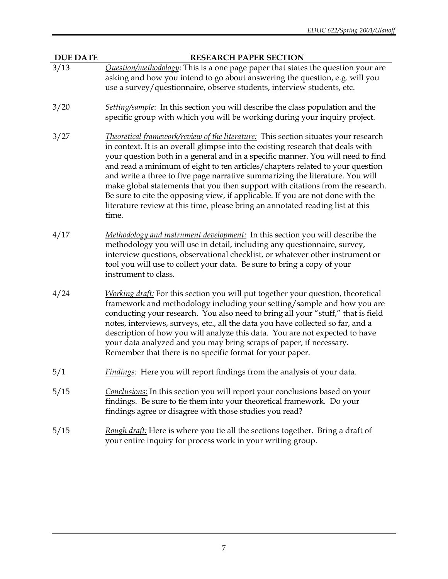**DUE DATE RESEARCH PAPER SECTION**

- 3/13 *Question/methodology*: This is a one page paper that states the question your are asking and how you intend to go about answering the question, e.g. will you use a survey/questionnaire, observe students, interview students, etc.
- 3/20 *Setting/sample*: In this section you will describe the class population and the specific group with which you will be working during your inquiry project.
- 3/27 *Theoretical framework/review of the literature:* This section situates your research in context. It is an overall glimpse into the existing research that deals with your question both in a general and in a specific manner. You will need to find and read a minimum of eight to ten articles/chapters related to your question and write a three to five page narrative summarizing the literature. You will make global statements that you then support with citations from the research. Be sure to cite the opposing view, if applicable. If you are not done with the literature review at this time, please bring an annotated reading list at this time.
- 4/17 *Methodology and instrument development:* In this section you will describe the methodology you will use in detail, including any questionnaire, survey, interview questions, observational checklist, or whatever other instrument or tool you will use to collect your data. Be sure to bring a copy of your instrument to class.
- 4/24 *Working draft:* For this section you will put together your question, theoretical framework and methodology including your setting/sample and how you are conducting your research. You also need to bring all your "stuff," that is field notes, interviews, surveys, etc., all the data you have collected so far, and a description of how you will analyze this data. You are not expected to have your data analyzed and you may bring scraps of paper, if necessary. Remember that there is no specific format for your paper.
- 5/1 *Findings:* Here you will report findings from the analysis of your data.
- 5/15 *Conclusions:* In this section you will report your conclusions based on your findings. Be sure to tie them into your theoretical framework. Do your findings agree or disagree with those studies you read?
- 5/15 *Rough draft:* Here is where you tie all the sections together. Bring a draft of your entire inquiry for process work in your writing group.